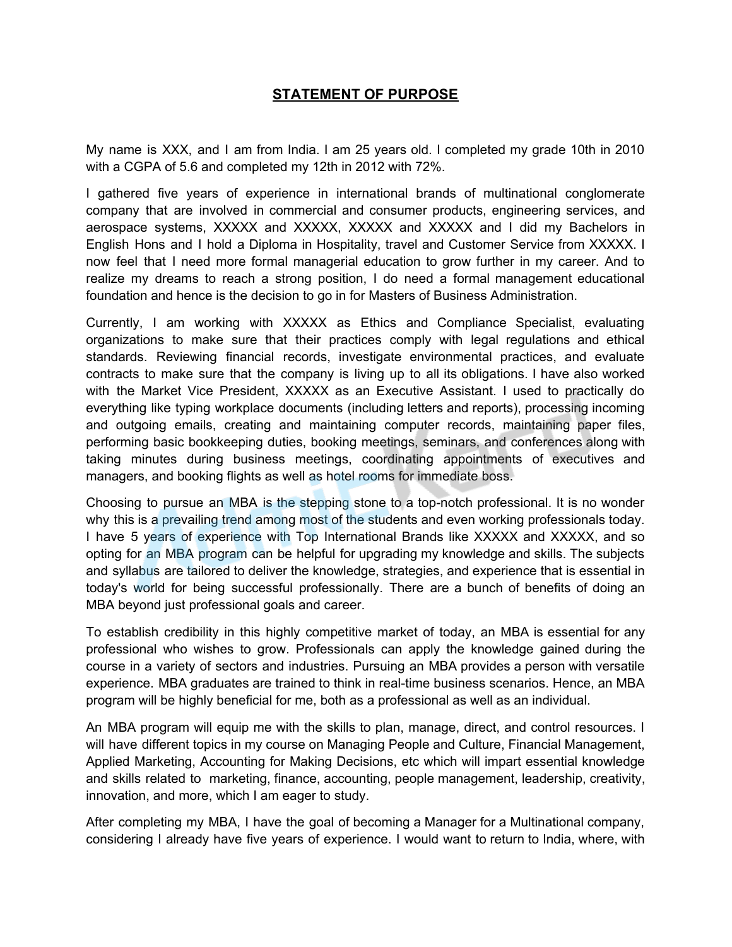## **STATEMENT OF PURPOSE**

My name is XXX, and I am from India. I am 25 years old. I completed my grade 10th in 2010 with a CGPA of 5.6 and completed my 12th in 2012 with 72%.

I gathered five years of experience in international brands of multinational conglomerate company that are involved in commercial and consumer products, engineering services, and aerospace systems, XXXXX and XXXXX, XXXXX and XXXXX and I did my Bachelors in English Hons and I hold a Diploma in Hospitality, travel and Customer Service from XXXXX. I now feel that I need more formal managerial education to grow further in my career. And to realize my dreams to reach a strong position, I do need a formal management educational foundation and hence is the decision to go in for Masters of Business Administration.

Currently, I am working with XXXXX as Ethics and Compliance Specialist, evaluating organizations to make sure that their practices comply with legal regulations and ethical standards. Reviewing financial records, investigate environmental practices, and evaluate contracts to make sure that the company is living up to all its obligations. I have also worked with the Market Vice President, XXXXX as an Executive Assistant. I used to practically do everything like typing workplace documents (including letters and reports), processing incoming and outgoing emails, creating and maintaining computer records, maintaining paper files, performing basic bookkeeping duties, booking meetings, seminars, and conferences along with taking minutes during business meetings, coordinating appointments of executives and managers, and booking flights as well as hotel rooms for immediate boss.

Choosing to pursue an MBA is the stepping stone to a top-notch professional. It is no wonder why this is a prevailing trend among most of the students and even working professionals today. I have 5 years of experience with Top International Brands like XXXXX and XXXXX, and so opting for an MBA program can be helpful for upgrading my knowledge and skills. The subjects and syllabus are tailored to deliver the knowledge, strategies, and experience that is essential in today's world for being successful professionally. There are a bunch of benefits of doing an MBA beyond just professional goals and career.

To establish credibility in this highly competitive market of today, an MBA is essential for any professional who wishes to grow. Professionals can apply the knowledge gained during the course in a variety of sectors and industries. Pursuing an MBA provides a person with versatile experience. MBA graduates are trained to think in real-time business scenarios. Hence, an MBA program will be highly beneficial for me, both as a professional as well as an individual.

An MBA program will equip me with the skills to plan, manage, direct, and control resources. I will have different topics in my course on Managing People and Culture, Financial Management, Applied Marketing, Accounting for Making Decisions, etc which will impart essential knowledge and skills related to marketing, finance, accounting, people management, leadership, creativity, innovation, and more, which I am eager to study.

After completing my MBA, I have the goal of becoming a Manager for a Multinational company, considering I already have five years of experience. I would want to return to India, where, with